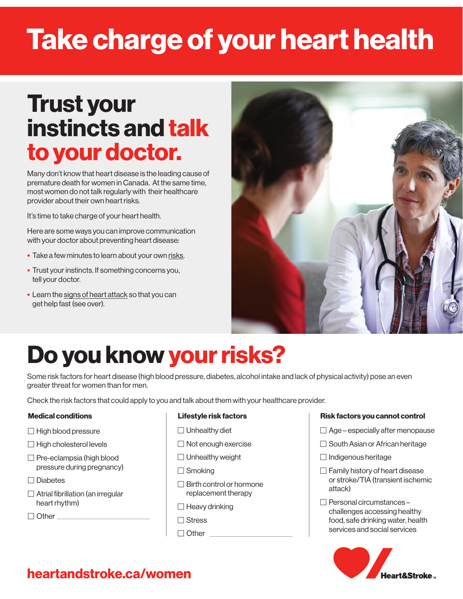# Take charge of your heart health

## Trust your instincts and talk to your doctor.

Many don't know that heart disease is the leading cause of premature death for women in Canada. At the same time, most women do not talk regularly with their healthcare provider about their own heart risks.

It's time to take charge of your heart health.

Here are some ways you can improve communication with your doctor about preventing heart disease:

- Take a few minutes to learn about your own risks.
- Trust your instincts. If something concerns you, tell your doctor.
- Learn the signs of heart attack so that you can get help fast (see over).



# Do you know your risks?

Some risk factors for heart disease (high blood pressure, diabetes, alcohol intake and lack of physical activity) pose an even greater threat for women than for men.

Check the risk factors that could apply to you and talk about them with your healthcare provider.

### Medical conditions

- $\Box$  High blood pressure
- $\Box$  High cholesterol levels
- $\Box$  Pre-eclampsia (high blood pressure during pregnancy)
- $\Box$  Diabetes
- $\Box$  Atrial fibrillation (an irregular heart rhythm)

 $\Box$  Other  $\Box$ 

### Lifestyle risk factors

- $\Box$  Unhealthy diet
- $\Box$  Not enough exercise
- □ Unhealthy weight
- □ Smoking
- $\Box$  Birth control or hormone replacement therapy
- $\Box$  Heavy drinking
- **□** Stress
- □ Other

#### Risk factors you cannot control

- $\Box$  Age especially after menopause
- $\Box$  South Asian or African heritage
- $\Box$  Indigenous heritage
- $\Box$  Family history of heart disease or stroke/TIA (transient ischemic attack)
- □ Personal circumstances challenges accessing healthy food, safe drinking water, health services and social services



### heartandstroke.ca/women